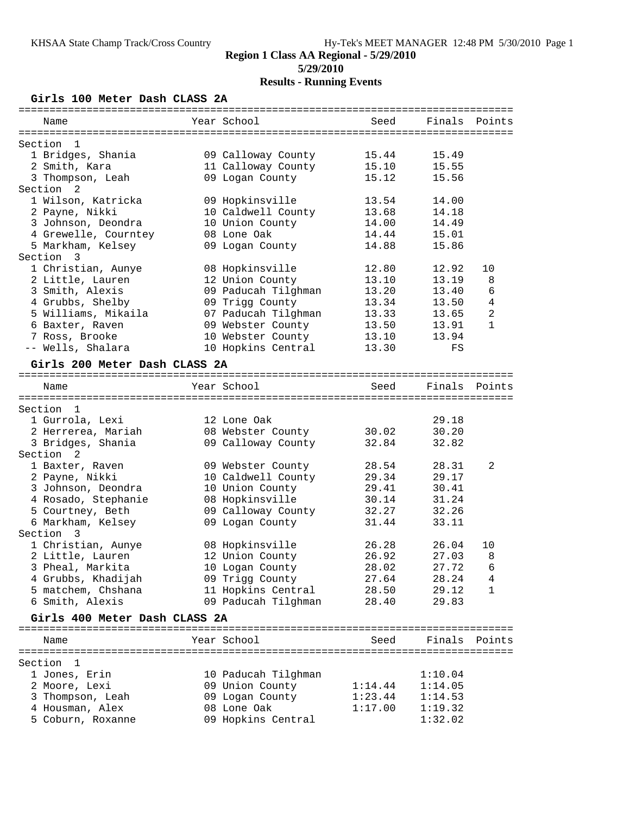## **Girls 100 Meter Dash CLASS 2A**

| Name                                      | Year School         | Seed    |         | Finals Points  |
|-------------------------------------------|---------------------|---------|---------|----------------|
|                                           |                     |         |         |                |
| Section<br>$\mathbf{1}$                   |                     |         |         |                |
| 1 Bridges, Shania                         | 09 Calloway County  | 15.44   | 15.49   |                |
| 2 Smith, Kara                             | 11 Calloway County  | 15.10   | 15.55   |                |
| 3 Thompson, Leah                          | 09 Logan County     | 15.12   | 15.56   |                |
| Section <sub>2</sub>                      |                     |         |         |                |
| 1 Wilson, Katricka                        | 09 Hopkinsville     | 13.54   | 14.00   |                |
| 2 Payne, Nikki                            | 10 Caldwell County  | 13.68   | 14.18   |                |
| 3 Johnson, Deondra                        | 10 Union County     | 14.00   | 14.49   |                |
| 4 Grewelle, Courntey                      | 08 Lone Oak         | 14.44   | 15.01   |                |
| 5 Markham, Kelsey                         | 09 Logan County     | 14.88   | 15.86   |                |
| Section 3                                 |                     |         |         |                |
| 1 Christian, Aunye                        | 08 Hopkinsville     | 12.80   | 12.92   | 10             |
| 2 Little, Lauren                          | 12 Union County     | 13.10   | 13.19   | 8              |
| 3 Smith, Alexis                           | 09 Paducah Tilghman | 13.20   | 13.40   | 6              |
| 4 Grubbs, Shelby                          | 09 Trigg County     | 13.34   | 13.50   | $\overline{4}$ |
| 5 Williams, Mikaila                       | 07 Paducah Tilghman | 13.33   | 13.65   | $\overline{a}$ |
| 6 Baxter, Raven                           | 09 Webster County   | 13.50   | 13.91   | $\mathbf{1}$   |
| 7 Ross, Brooke                            | 10 Webster County   | 13.10   | 13.94   |                |
| -- Wells, Shalara                         | 10 Hopkins Central  | 13.30   | FS      |                |
| Girls 200 Meter Dash CLASS 2A             |                     |         |         |                |
|                                           |                     |         |         |                |
| Name                                      | Year School         | Seed    | Finals  | Points         |
|                                           |                     |         |         |                |
| Section 1                                 |                     |         |         |                |
| 1 Gurrola, Lexi                           | 12 Lone Oak         |         | 29.18   |                |
|                                           |                     |         |         |                |
| 2 Herrerea, Mariah                        | 08 Webster County   | 30.02   | 30.20   |                |
| 3 Bridges, Shania<br>Section <sub>2</sub> | 09 Calloway County  | 32.84   | 32.82   |                |
|                                           |                     |         |         |                |
| 1 Baxter, Raven                           | 09 Webster County   | 28.54   | 28.31   | 2              |
| 2 Payne, Nikki                            | 10 Caldwell County  | 29.34   | 29.17   |                |
| 3 Johnson, Deondra                        | 10 Union County     | 29.41   | 30.41   |                |
| 4 Rosado, Stephanie                       | 08 Hopkinsville     | 30.14   | 31.24   |                |
| 5 Courtney, Beth                          | 09 Calloway County  | 32.27   | 32.26   |                |
| 6 Markham, Kelsey                         | 09 Logan County     | 31.44   | 33.11   |                |
| Section<br>$\overline{\phantom{a}}$       |                     |         |         |                |
| 1 Christian, Aunye                        | 08 Hopkinsville     | 26.28   | 26.04   | 10             |
| 2 Little, Lauren                          | 12 Union County     | 26.92   | 27.03   | 8              |
| 3 Pheal, Markita                          | 10 Logan County     | 28.02   | 27.72   | 6              |
| 4 Grubbs, Khadijah                        | 09 Trigg County     | 27.64   | 28.24   | 4              |
| 5 matchem, Chshana                        | 11 Hopkins Central  | 28.50   | 29.12   | 1              |
| 6 Smith, Alexis                           | 09 Paducah Tilghman | 28.40   | 29.83   |                |
| Girls 400 Meter Dash CLASS 2A             |                     |         |         |                |
|                                           |                     |         |         |                |
| Name                                      | Year School         | Seed    |         | Finals Points  |
|                                           |                     |         |         |                |
| Section<br>- 1                            |                     |         |         |                |
| 1 Jones, Erin                             | 10 Paducah Tilghman |         | 1:10.04 |                |
| 2 Moore, Lexi                             | 09 Union County     | 1:14.44 | 1:14.05 |                |
| 3 Thompson, Leah                          | 09 Logan County     | 1:23.44 | 1:14.53 |                |
| 4 Housman, Alex                           | 08 Lone Oak         | 1:17.00 | 1:19.32 |                |
| 5 Coburn, Roxanne                         | 09 Hopkins Central  |         | 1:32.02 |                |
|                                           |                     |         |         |                |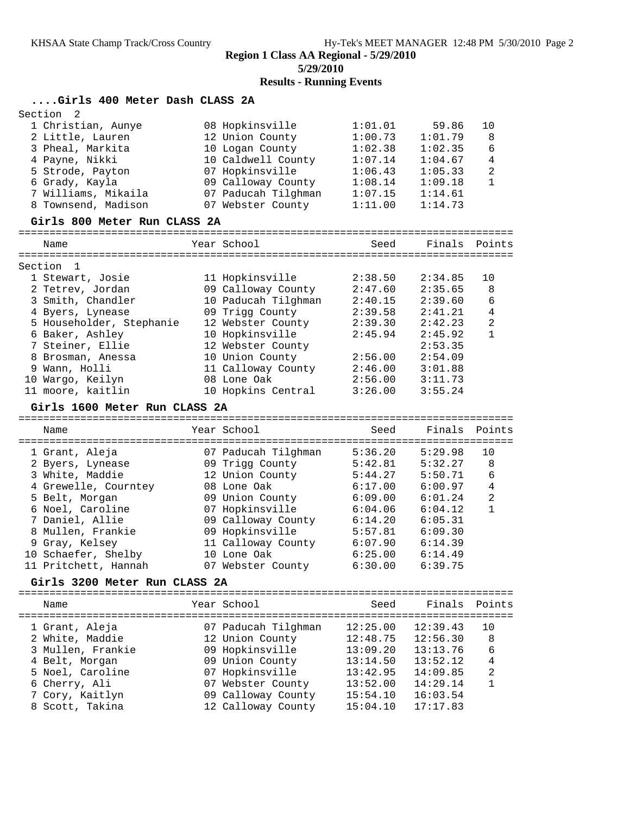**Results - Running Events**

## **....Girls 400 Meter Dash CLASS 2A**

| Section<br>2                     |                |                                         |                      |                      |              |  |  |  |  |
|----------------------------------|----------------|-----------------------------------------|----------------------|----------------------|--------------|--|--|--|--|
| 1 Christian, Aunye               |                | 08 Hopkinsville                         | 1:01.01              | 59.86                | 10           |  |  |  |  |
| 2 Little, Lauren                 |                | 12 Union County                         | 1:00.73              | 1:01.79              | 8            |  |  |  |  |
| 3 Pheal, Markita                 |                | 10 Logan County                         | 1:02.38              | 1:02.35              | 6            |  |  |  |  |
| 4 Payne, Nikki                   |                | 10 Caldwell County                      | 1:07.14              | 1:04.67              | 4            |  |  |  |  |
| 5 Strode, Payton                 |                | 07 Hopkinsville                         | 1:06.43              | 1:05.33              | 2            |  |  |  |  |
| 6 Grady, Kayla                   |                | 09 Calloway County                      | 1:08.14              | 1:09.18              | $\mathbf{1}$ |  |  |  |  |
| 7 Williams, Mikaila              |                | 07 Paducah Tilghman                     | 1:07.15              | 1:14.61              |              |  |  |  |  |
| 8 Townsend, Madison              |                | 07 Webster County                       | 1:11.00              | 1:14.73              |              |  |  |  |  |
| Girls 800 Meter Run CLASS 2A     |                |                                         |                      |                      |              |  |  |  |  |
| Name                             |                | Year School                             | Seed                 | Finals               | Points       |  |  |  |  |
| $\mathbf{1}$<br>Section          |                |                                         |                      |                      |              |  |  |  |  |
| 1 Stewart, Josie                 |                | 11 Hopkinsville                         | 2:38.50              | 2:34.85              | 10           |  |  |  |  |
| 2 Tetrev, Jordan                 |                | 09 Calloway County                      | 2:47.60              | 2:35.65              | 8            |  |  |  |  |
| 3 Smith, Chandler                |                | 10 Paducah Tilghman                     | 2:40.15              | 2:39.60              | 6            |  |  |  |  |
| 4 Byers, Lynease                 |                | 09 Trigg County                         | 2:39.58              | 2:41.21              | 4            |  |  |  |  |
| 5 Householder, Stephanie         |                | 12 Webster County                       | 2:39.30              | 2:42.23              | 2            |  |  |  |  |
| 6 Baker, Ashley                  |                | 10 Hopkinsville                         | 2:45.94              | 2:45.92              | $\mathbf{1}$ |  |  |  |  |
| 7 Steiner, Ellie                 |                | 12 Webster County                       |                      | 2:53.35              |              |  |  |  |  |
| 8 Brosman, Anessa                |                | 10 Union County                         | 2:56.00              | 2:54.09              |              |  |  |  |  |
| 9 Wann, Holli                    |                | 11 Calloway County                      | 2:46.00              | 3:01.88              |              |  |  |  |  |
| 10 Wargo, Keilyn                 |                | 08 Lone Oak                             | 2:56.00              | 3:11.73              |              |  |  |  |  |
| 11 moore, kaitlin                |                | 10 Hopkins Central                      | 3:26.00              | 3:55.24              |              |  |  |  |  |
| Girls 1600 Meter Run CLASS 2A    |                |                                         |                      |                      |              |  |  |  |  |
|                                  |                |                                         |                      |                      |              |  |  |  |  |
| Name                             |                | Year School                             | Seed                 | Finals               | Points       |  |  |  |  |
| :=====================           | ============== |                                         | ======               |                      |              |  |  |  |  |
| 1 Grant, Aleja                   |                | 07 Paducah Tilghman                     | 5:36.20              | 5:29.98              | 10           |  |  |  |  |
| 2 Byers, Lynease                 |                | 09 Trigg County                         | 5:42.81              | 5:32.27              | 8            |  |  |  |  |
| 3 White, Maddie                  |                | 12 Union County                         | 5:44.27              | 5:50.71              | 6            |  |  |  |  |
| 4 Grewelle, Courntey             |                | 08 Lone Oak                             | 6:17.00              | 6:00.97              | 4            |  |  |  |  |
| 5 Belt, Morgan                   |                | 09 Union County                         | 6:09.00              | 6:01.24              | 2            |  |  |  |  |
| 6 Noel, Caroline                 |                | 07 Hopkinsville                         | 6:04.06              | 6:04.12              | $\mathbf{1}$ |  |  |  |  |
| 7 Daniel, Allie                  |                | 09 Calloway County                      | 6:14.20              | 6:05.31              |              |  |  |  |  |
| 8 Mullen, Frankie                |                | 09 Hopkinsville                         | 5:57.81              | 6:09.30              |              |  |  |  |  |
| 9 Gray, Kelsey                   |                | 11 Calloway County                      | 6:07.90              | 6:14.39              |              |  |  |  |  |
| 10 Schaefer, Shelby              |                | 10 Lone Oak                             | 6:25.00              | 6:14.49              |              |  |  |  |  |
| 11 Pritchett, Hannah             |                | 07 Webster County                       | 6:30.00              | 6:39.75              |              |  |  |  |  |
| Girls 3200 Meter Run CLASS 2A    |                |                                         |                      |                      |              |  |  |  |  |
| Name                             |                | Year School                             | Seed                 | Finals               | Points       |  |  |  |  |
|                                  |                |                                         |                      |                      |              |  |  |  |  |
| 1 Grant, Aleja                   |                | 07 Paducah Tilghman                     | 12:25.00             | 12:39.43             | 10           |  |  |  |  |
| 2 White, Maddie                  |                | 12 Union County                         | 12:48.75             | 12:56.30             | 8            |  |  |  |  |
| 3 Mullen, Frankie                |                | 09 Hopkinsville                         | 13:09.20             | 13:13.76             | 6            |  |  |  |  |
| 4 Belt, Morgan                   |                | 09 Union County                         | 13:14.50             | 13:52.12             | 4            |  |  |  |  |
| 5 Noel, Caroline                 |                | 07 Hopkinsville                         | 13:42.95             | 14:09.85             | 2            |  |  |  |  |
| 6 Cherry, Ali<br>7 Cory, Kaitlyn |                | 07 Webster County<br>09 Calloway County | 13:52.00<br>15:54.10 | 14:29.14<br>16:03.54 | 1            |  |  |  |  |
| 8 Scott, Takina                  |                | 12 Calloway County                      | 15:04.10             | 17:17.83             |              |  |  |  |  |
|                                  |                |                                         |                      |                      |              |  |  |  |  |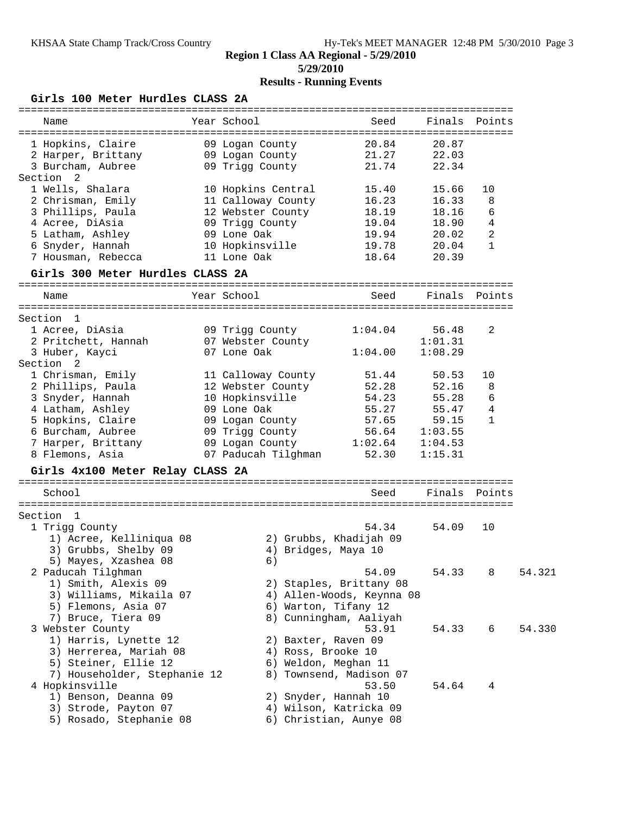#### **Region 1 Class AA Regional - 5/29/2010 5/29/2010**

# **Results - Running Events**

## **Girls 100 Meter Hurdles CLASS 2A**

| Year School<br>Finals Points<br>Name<br>Seed<br>1 Hopkins, Claire<br>20.84<br>09 Logan County<br>20.87<br>09 Logan County<br>21.27<br>22.03<br>2 Harper, Brittany<br>09 Trigg County<br>3 Burcham, Aubree<br>21.74<br>22.34<br>Section 2<br>1 Wells, Shalara<br>15.40<br>15.66<br>10<br>10 Hopkins Central<br>2 Chrisman, Emily<br>11 Calloway County<br>16.23<br>8<br>16.33<br>3 Phillips, Paula<br>12 Webster County<br>18.19<br>18.16<br>6<br>4 Acree, DiAsia<br>09 Trigg County<br>19.04<br>18.90<br>4<br>2<br>5 Latham, Ashley<br>09 Lone Oak<br>19.94<br>20.02<br>6 Snyder, Hannah<br>$\mathbf{1}$<br>10 Hopkinsville<br>19.78<br>20.04<br>11 Lone Oak<br>7 Housman, Rebecca<br>20.39<br>18.64<br>Girls 300 Meter Hurdles CLASS 2A<br>Year School<br>Finals Points<br>Seed<br>Name<br>Section 1<br>1 Acree, DiAsia<br>09 Trigg County<br>56.48<br>2<br>1:04.04<br>2 Pritchett, Hannah<br>07 Webster County<br>1:01.31<br>07 Lone Oak<br>1:04.00<br>1:08.29<br>3 Huber, Kayci<br>Section <sub>2</sub><br>1 Chrisman, Emily<br>50.53<br>10<br>11 Calloway County<br>51.44<br>2 Phillips, Paula<br>12 Webster County<br>52.28<br>52.16<br>8<br>3 Snyder, Hannah<br>10 Hopkinsville<br>54.23<br>55.28<br>6<br>4 Latham, Ashley<br>09 Lone Oak<br>55.27<br>55.47<br>4<br>5 Hopkins, Claire<br>57.65<br>09 Logan County<br>59.15<br>1<br>6 Burcham, Aubree<br>09 Trigg County<br>56.64<br>1:03.55<br>7 Harper, Brittany<br>09 Logan County<br>1:02.64<br>1:04.53<br>8 Flemons, Asia<br>07 Paducah Tilghman<br>52.30<br>1:15.31<br>Girls 4x100 Meter Relay CLASS 2A<br>Finals<br>School<br>Seed<br>Points<br>Section 1<br>54.09<br>10<br>1 Trigg County<br>54.34<br>1) Acree, Kelliniqua 08<br>2) Grubbs, Khadijah 09<br>3) Grubbs, Shelby 09<br>4) Bridges, Maya 10<br>5) Mayes, Xzashea 08<br>6)<br>54.09<br>54.33<br>54.321<br>2 Paducah Tilghman<br>8<br>1) Smith, Alexis 09<br>2) Staples, Brittany 08<br>3) Williams, Mikaila 07<br>4) Allen-Woods, Keynna 08<br>5) Flemons, Asia 07<br>6) Warton, Tifany 12<br>7) Bruce, Tiera 09<br>8) Cunningham, Aaliyah<br>3 Webster County<br>54.33<br>6<br>54.330<br>53.91<br>1) Harris, Lynette 12<br>2) Baxter, Raven 09<br>3) Herrerea, Mariah 08<br>4) Ross, Brooke 10<br>5) Steiner, Ellie 12<br>6) Weldon, Meghan 11<br>7) Householder, Stephanie 12<br>8) Townsend, Madison 07<br>4 Hopkinsville<br>53.50<br>54.64<br>4<br>1) Benson, Deanna 09<br>2) Snyder, Hannah 10<br>3) Strode, Payton 07<br>4) Wilson, Katricka 09<br>5) Rosado, Stephanie 08<br>6) Christian, Aunye 08 |  |  |  |  |
|-----------------------------------------------------------------------------------------------------------------------------------------------------------------------------------------------------------------------------------------------------------------------------------------------------------------------------------------------------------------------------------------------------------------------------------------------------------------------------------------------------------------------------------------------------------------------------------------------------------------------------------------------------------------------------------------------------------------------------------------------------------------------------------------------------------------------------------------------------------------------------------------------------------------------------------------------------------------------------------------------------------------------------------------------------------------------------------------------------------------------------------------------------------------------------------------------------------------------------------------------------------------------------------------------------------------------------------------------------------------------------------------------------------------------------------------------------------------------------------------------------------------------------------------------------------------------------------------------------------------------------------------------------------------------------------------------------------------------------------------------------------------------------------------------------------------------------------------------------------------------------------------------------------------------------------------------------------------------------------------------------------------------------------------------------------------------------------------------------------------------------------------------------------------------------------------------------------------------------------------------------------------------------------------------------------------------------------------------------------------------------------------------------------------------------------------------------------------------------------------------------------------------------------|--|--|--|--|
|                                                                                                                                                                                                                                                                                                                                                                                                                                                                                                                                                                                                                                                                                                                                                                                                                                                                                                                                                                                                                                                                                                                                                                                                                                                                                                                                                                                                                                                                                                                                                                                                                                                                                                                                                                                                                                                                                                                                                                                                                                                                                                                                                                                                                                                                                                                                                                                                                                                                                                                                   |  |  |  |  |
|                                                                                                                                                                                                                                                                                                                                                                                                                                                                                                                                                                                                                                                                                                                                                                                                                                                                                                                                                                                                                                                                                                                                                                                                                                                                                                                                                                                                                                                                                                                                                                                                                                                                                                                                                                                                                                                                                                                                                                                                                                                                                                                                                                                                                                                                                                                                                                                                                                                                                                                                   |  |  |  |  |
|                                                                                                                                                                                                                                                                                                                                                                                                                                                                                                                                                                                                                                                                                                                                                                                                                                                                                                                                                                                                                                                                                                                                                                                                                                                                                                                                                                                                                                                                                                                                                                                                                                                                                                                                                                                                                                                                                                                                                                                                                                                                                                                                                                                                                                                                                                                                                                                                                                                                                                                                   |  |  |  |  |
|                                                                                                                                                                                                                                                                                                                                                                                                                                                                                                                                                                                                                                                                                                                                                                                                                                                                                                                                                                                                                                                                                                                                                                                                                                                                                                                                                                                                                                                                                                                                                                                                                                                                                                                                                                                                                                                                                                                                                                                                                                                                                                                                                                                                                                                                                                                                                                                                                                                                                                                                   |  |  |  |  |
|                                                                                                                                                                                                                                                                                                                                                                                                                                                                                                                                                                                                                                                                                                                                                                                                                                                                                                                                                                                                                                                                                                                                                                                                                                                                                                                                                                                                                                                                                                                                                                                                                                                                                                                                                                                                                                                                                                                                                                                                                                                                                                                                                                                                                                                                                                                                                                                                                                                                                                                                   |  |  |  |  |
|                                                                                                                                                                                                                                                                                                                                                                                                                                                                                                                                                                                                                                                                                                                                                                                                                                                                                                                                                                                                                                                                                                                                                                                                                                                                                                                                                                                                                                                                                                                                                                                                                                                                                                                                                                                                                                                                                                                                                                                                                                                                                                                                                                                                                                                                                                                                                                                                                                                                                                                                   |  |  |  |  |
|                                                                                                                                                                                                                                                                                                                                                                                                                                                                                                                                                                                                                                                                                                                                                                                                                                                                                                                                                                                                                                                                                                                                                                                                                                                                                                                                                                                                                                                                                                                                                                                                                                                                                                                                                                                                                                                                                                                                                                                                                                                                                                                                                                                                                                                                                                                                                                                                                                                                                                                                   |  |  |  |  |
|                                                                                                                                                                                                                                                                                                                                                                                                                                                                                                                                                                                                                                                                                                                                                                                                                                                                                                                                                                                                                                                                                                                                                                                                                                                                                                                                                                                                                                                                                                                                                                                                                                                                                                                                                                                                                                                                                                                                                                                                                                                                                                                                                                                                                                                                                                                                                                                                                                                                                                                                   |  |  |  |  |
|                                                                                                                                                                                                                                                                                                                                                                                                                                                                                                                                                                                                                                                                                                                                                                                                                                                                                                                                                                                                                                                                                                                                                                                                                                                                                                                                                                                                                                                                                                                                                                                                                                                                                                                                                                                                                                                                                                                                                                                                                                                                                                                                                                                                                                                                                                                                                                                                                                                                                                                                   |  |  |  |  |
|                                                                                                                                                                                                                                                                                                                                                                                                                                                                                                                                                                                                                                                                                                                                                                                                                                                                                                                                                                                                                                                                                                                                                                                                                                                                                                                                                                                                                                                                                                                                                                                                                                                                                                                                                                                                                                                                                                                                                                                                                                                                                                                                                                                                                                                                                                                                                                                                                                                                                                                                   |  |  |  |  |
|                                                                                                                                                                                                                                                                                                                                                                                                                                                                                                                                                                                                                                                                                                                                                                                                                                                                                                                                                                                                                                                                                                                                                                                                                                                                                                                                                                                                                                                                                                                                                                                                                                                                                                                                                                                                                                                                                                                                                                                                                                                                                                                                                                                                                                                                                                                                                                                                                                                                                                                                   |  |  |  |  |
|                                                                                                                                                                                                                                                                                                                                                                                                                                                                                                                                                                                                                                                                                                                                                                                                                                                                                                                                                                                                                                                                                                                                                                                                                                                                                                                                                                                                                                                                                                                                                                                                                                                                                                                                                                                                                                                                                                                                                                                                                                                                                                                                                                                                                                                                                                                                                                                                                                                                                                                                   |  |  |  |  |
|                                                                                                                                                                                                                                                                                                                                                                                                                                                                                                                                                                                                                                                                                                                                                                                                                                                                                                                                                                                                                                                                                                                                                                                                                                                                                                                                                                                                                                                                                                                                                                                                                                                                                                                                                                                                                                                                                                                                                                                                                                                                                                                                                                                                                                                                                                                                                                                                                                                                                                                                   |  |  |  |  |
|                                                                                                                                                                                                                                                                                                                                                                                                                                                                                                                                                                                                                                                                                                                                                                                                                                                                                                                                                                                                                                                                                                                                                                                                                                                                                                                                                                                                                                                                                                                                                                                                                                                                                                                                                                                                                                                                                                                                                                                                                                                                                                                                                                                                                                                                                                                                                                                                                                                                                                                                   |  |  |  |  |
|                                                                                                                                                                                                                                                                                                                                                                                                                                                                                                                                                                                                                                                                                                                                                                                                                                                                                                                                                                                                                                                                                                                                                                                                                                                                                                                                                                                                                                                                                                                                                                                                                                                                                                                                                                                                                                                                                                                                                                                                                                                                                                                                                                                                                                                                                                                                                                                                                                                                                                                                   |  |  |  |  |
|                                                                                                                                                                                                                                                                                                                                                                                                                                                                                                                                                                                                                                                                                                                                                                                                                                                                                                                                                                                                                                                                                                                                                                                                                                                                                                                                                                                                                                                                                                                                                                                                                                                                                                                                                                                                                                                                                                                                                                                                                                                                                                                                                                                                                                                                                                                                                                                                                                                                                                                                   |  |  |  |  |
|                                                                                                                                                                                                                                                                                                                                                                                                                                                                                                                                                                                                                                                                                                                                                                                                                                                                                                                                                                                                                                                                                                                                                                                                                                                                                                                                                                                                                                                                                                                                                                                                                                                                                                                                                                                                                                                                                                                                                                                                                                                                                                                                                                                                                                                                                                                                                                                                                                                                                                                                   |  |  |  |  |
|                                                                                                                                                                                                                                                                                                                                                                                                                                                                                                                                                                                                                                                                                                                                                                                                                                                                                                                                                                                                                                                                                                                                                                                                                                                                                                                                                                                                                                                                                                                                                                                                                                                                                                                                                                                                                                                                                                                                                                                                                                                                                                                                                                                                                                                                                                                                                                                                                                                                                                                                   |  |  |  |  |
|                                                                                                                                                                                                                                                                                                                                                                                                                                                                                                                                                                                                                                                                                                                                                                                                                                                                                                                                                                                                                                                                                                                                                                                                                                                                                                                                                                                                                                                                                                                                                                                                                                                                                                                                                                                                                                                                                                                                                                                                                                                                                                                                                                                                                                                                                                                                                                                                                                                                                                                                   |  |  |  |  |
|                                                                                                                                                                                                                                                                                                                                                                                                                                                                                                                                                                                                                                                                                                                                                                                                                                                                                                                                                                                                                                                                                                                                                                                                                                                                                                                                                                                                                                                                                                                                                                                                                                                                                                                                                                                                                                                                                                                                                                                                                                                                                                                                                                                                                                                                                                                                                                                                                                                                                                                                   |  |  |  |  |
|                                                                                                                                                                                                                                                                                                                                                                                                                                                                                                                                                                                                                                                                                                                                                                                                                                                                                                                                                                                                                                                                                                                                                                                                                                                                                                                                                                                                                                                                                                                                                                                                                                                                                                                                                                                                                                                                                                                                                                                                                                                                                                                                                                                                                                                                                                                                                                                                                                                                                                                                   |  |  |  |  |
|                                                                                                                                                                                                                                                                                                                                                                                                                                                                                                                                                                                                                                                                                                                                                                                                                                                                                                                                                                                                                                                                                                                                                                                                                                                                                                                                                                                                                                                                                                                                                                                                                                                                                                                                                                                                                                                                                                                                                                                                                                                                                                                                                                                                                                                                                                                                                                                                                                                                                                                                   |  |  |  |  |
|                                                                                                                                                                                                                                                                                                                                                                                                                                                                                                                                                                                                                                                                                                                                                                                                                                                                                                                                                                                                                                                                                                                                                                                                                                                                                                                                                                                                                                                                                                                                                                                                                                                                                                                                                                                                                                                                                                                                                                                                                                                                                                                                                                                                                                                                                                                                                                                                                                                                                                                                   |  |  |  |  |
|                                                                                                                                                                                                                                                                                                                                                                                                                                                                                                                                                                                                                                                                                                                                                                                                                                                                                                                                                                                                                                                                                                                                                                                                                                                                                                                                                                                                                                                                                                                                                                                                                                                                                                                                                                                                                                                                                                                                                                                                                                                                                                                                                                                                                                                                                                                                                                                                                                                                                                                                   |  |  |  |  |
|                                                                                                                                                                                                                                                                                                                                                                                                                                                                                                                                                                                                                                                                                                                                                                                                                                                                                                                                                                                                                                                                                                                                                                                                                                                                                                                                                                                                                                                                                                                                                                                                                                                                                                                                                                                                                                                                                                                                                                                                                                                                                                                                                                                                                                                                                                                                                                                                                                                                                                                                   |  |  |  |  |
|                                                                                                                                                                                                                                                                                                                                                                                                                                                                                                                                                                                                                                                                                                                                                                                                                                                                                                                                                                                                                                                                                                                                                                                                                                                                                                                                                                                                                                                                                                                                                                                                                                                                                                                                                                                                                                                                                                                                                                                                                                                                                                                                                                                                                                                                                                                                                                                                                                                                                                                                   |  |  |  |  |
|                                                                                                                                                                                                                                                                                                                                                                                                                                                                                                                                                                                                                                                                                                                                                                                                                                                                                                                                                                                                                                                                                                                                                                                                                                                                                                                                                                                                                                                                                                                                                                                                                                                                                                                                                                                                                                                                                                                                                                                                                                                                                                                                                                                                                                                                                                                                                                                                                                                                                                                                   |  |  |  |  |
|                                                                                                                                                                                                                                                                                                                                                                                                                                                                                                                                                                                                                                                                                                                                                                                                                                                                                                                                                                                                                                                                                                                                                                                                                                                                                                                                                                                                                                                                                                                                                                                                                                                                                                                                                                                                                                                                                                                                                                                                                                                                                                                                                                                                                                                                                                                                                                                                                                                                                                                                   |  |  |  |  |
|                                                                                                                                                                                                                                                                                                                                                                                                                                                                                                                                                                                                                                                                                                                                                                                                                                                                                                                                                                                                                                                                                                                                                                                                                                                                                                                                                                                                                                                                                                                                                                                                                                                                                                                                                                                                                                                                                                                                                                                                                                                                                                                                                                                                                                                                                                                                                                                                                                                                                                                                   |  |  |  |  |
|                                                                                                                                                                                                                                                                                                                                                                                                                                                                                                                                                                                                                                                                                                                                                                                                                                                                                                                                                                                                                                                                                                                                                                                                                                                                                                                                                                                                                                                                                                                                                                                                                                                                                                                                                                                                                                                                                                                                                                                                                                                                                                                                                                                                                                                                                                                                                                                                                                                                                                                                   |  |  |  |  |
|                                                                                                                                                                                                                                                                                                                                                                                                                                                                                                                                                                                                                                                                                                                                                                                                                                                                                                                                                                                                                                                                                                                                                                                                                                                                                                                                                                                                                                                                                                                                                                                                                                                                                                                                                                                                                                                                                                                                                                                                                                                                                                                                                                                                                                                                                                                                                                                                                                                                                                                                   |  |  |  |  |
|                                                                                                                                                                                                                                                                                                                                                                                                                                                                                                                                                                                                                                                                                                                                                                                                                                                                                                                                                                                                                                                                                                                                                                                                                                                                                                                                                                                                                                                                                                                                                                                                                                                                                                                                                                                                                                                                                                                                                                                                                                                                                                                                                                                                                                                                                                                                                                                                                                                                                                                                   |  |  |  |  |
|                                                                                                                                                                                                                                                                                                                                                                                                                                                                                                                                                                                                                                                                                                                                                                                                                                                                                                                                                                                                                                                                                                                                                                                                                                                                                                                                                                                                                                                                                                                                                                                                                                                                                                                                                                                                                                                                                                                                                                                                                                                                                                                                                                                                                                                                                                                                                                                                                                                                                                                                   |  |  |  |  |
|                                                                                                                                                                                                                                                                                                                                                                                                                                                                                                                                                                                                                                                                                                                                                                                                                                                                                                                                                                                                                                                                                                                                                                                                                                                                                                                                                                                                                                                                                                                                                                                                                                                                                                                                                                                                                                                                                                                                                                                                                                                                                                                                                                                                                                                                                                                                                                                                                                                                                                                                   |  |  |  |  |
|                                                                                                                                                                                                                                                                                                                                                                                                                                                                                                                                                                                                                                                                                                                                                                                                                                                                                                                                                                                                                                                                                                                                                                                                                                                                                                                                                                                                                                                                                                                                                                                                                                                                                                                                                                                                                                                                                                                                                                                                                                                                                                                                                                                                                                                                                                                                                                                                                                                                                                                                   |  |  |  |  |
|                                                                                                                                                                                                                                                                                                                                                                                                                                                                                                                                                                                                                                                                                                                                                                                                                                                                                                                                                                                                                                                                                                                                                                                                                                                                                                                                                                                                                                                                                                                                                                                                                                                                                                                                                                                                                                                                                                                                                                                                                                                                                                                                                                                                                                                                                                                                                                                                                                                                                                                                   |  |  |  |  |
|                                                                                                                                                                                                                                                                                                                                                                                                                                                                                                                                                                                                                                                                                                                                                                                                                                                                                                                                                                                                                                                                                                                                                                                                                                                                                                                                                                                                                                                                                                                                                                                                                                                                                                                                                                                                                                                                                                                                                                                                                                                                                                                                                                                                                                                                                                                                                                                                                                                                                                                                   |  |  |  |  |
|                                                                                                                                                                                                                                                                                                                                                                                                                                                                                                                                                                                                                                                                                                                                                                                                                                                                                                                                                                                                                                                                                                                                                                                                                                                                                                                                                                                                                                                                                                                                                                                                                                                                                                                                                                                                                                                                                                                                                                                                                                                                                                                                                                                                                                                                                                                                                                                                                                                                                                                                   |  |  |  |  |
|                                                                                                                                                                                                                                                                                                                                                                                                                                                                                                                                                                                                                                                                                                                                                                                                                                                                                                                                                                                                                                                                                                                                                                                                                                                                                                                                                                                                                                                                                                                                                                                                                                                                                                                                                                                                                                                                                                                                                                                                                                                                                                                                                                                                                                                                                                                                                                                                                                                                                                                                   |  |  |  |  |
|                                                                                                                                                                                                                                                                                                                                                                                                                                                                                                                                                                                                                                                                                                                                                                                                                                                                                                                                                                                                                                                                                                                                                                                                                                                                                                                                                                                                                                                                                                                                                                                                                                                                                                                                                                                                                                                                                                                                                                                                                                                                                                                                                                                                                                                                                                                                                                                                                                                                                                                                   |  |  |  |  |
|                                                                                                                                                                                                                                                                                                                                                                                                                                                                                                                                                                                                                                                                                                                                                                                                                                                                                                                                                                                                                                                                                                                                                                                                                                                                                                                                                                                                                                                                                                                                                                                                                                                                                                                                                                                                                                                                                                                                                                                                                                                                                                                                                                                                                                                                                                                                                                                                                                                                                                                                   |  |  |  |  |
|                                                                                                                                                                                                                                                                                                                                                                                                                                                                                                                                                                                                                                                                                                                                                                                                                                                                                                                                                                                                                                                                                                                                                                                                                                                                                                                                                                                                                                                                                                                                                                                                                                                                                                                                                                                                                                                                                                                                                                                                                                                                                                                                                                                                                                                                                                                                                                                                                                                                                                                                   |  |  |  |  |
|                                                                                                                                                                                                                                                                                                                                                                                                                                                                                                                                                                                                                                                                                                                                                                                                                                                                                                                                                                                                                                                                                                                                                                                                                                                                                                                                                                                                                                                                                                                                                                                                                                                                                                                                                                                                                                                                                                                                                                                                                                                                                                                                                                                                                                                                                                                                                                                                                                                                                                                                   |  |  |  |  |
|                                                                                                                                                                                                                                                                                                                                                                                                                                                                                                                                                                                                                                                                                                                                                                                                                                                                                                                                                                                                                                                                                                                                                                                                                                                                                                                                                                                                                                                                                                                                                                                                                                                                                                                                                                                                                                                                                                                                                                                                                                                                                                                                                                                                                                                                                                                                                                                                                                                                                                                                   |  |  |  |  |
|                                                                                                                                                                                                                                                                                                                                                                                                                                                                                                                                                                                                                                                                                                                                                                                                                                                                                                                                                                                                                                                                                                                                                                                                                                                                                                                                                                                                                                                                                                                                                                                                                                                                                                                                                                                                                                                                                                                                                                                                                                                                                                                                                                                                                                                                                                                                                                                                                                                                                                                                   |  |  |  |  |
|                                                                                                                                                                                                                                                                                                                                                                                                                                                                                                                                                                                                                                                                                                                                                                                                                                                                                                                                                                                                                                                                                                                                                                                                                                                                                                                                                                                                                                                                                                                                                                                                                                                                                                                                                                                                                                                                                                                                                                                                                                                                                                                                                                                                                                                                                                                                                                                                                                                                                                                                   |  |  |  |  |
|                                                                                                                                                                                                                                                                                                                                                                                                                                                                                                                                                                                                                                                                                                                                                                                                                                                                                                                                                                                                                                                                                                                                                                                                                                                                                                                                                                                                                                                                                                                                                                                                                                                                                                                                                                                                                                                                                                                                                                                                                                                                                                                                                                                                                                                                                                                                                                                                                                                                                                                                   |  |  |  |  |
|                                                                                                                                                                                                                                                                                                                                                                                                                                                                                                                                                                                                                                                                                                                                                                                                                                                                                                                                                                                                                                                                                                                                                                                                                                                                                                                                                                                                                                                                                                                                                                                                                                                                                                                                                                                                                                                                                                                                                                                                                                                                                                                                                                                                                                                                                                                                                                                                                                                                                                                                   |  |  |  |  |
|                                                                                                                                                                                                                                                                                                                                                                                                                                                                                                                                                                                                                                                                                                                                                                                                                                                                                                                                                                                                                                                                                                                                                                                                                                                                                                                                                                                                                                                                                                                                                                                                                                                                                                                                                                                                                                                                                                                                                                                                                                                                                                                                                                                                                                                                                                                                                                                                                                                                                                                                   |  |  |  |  |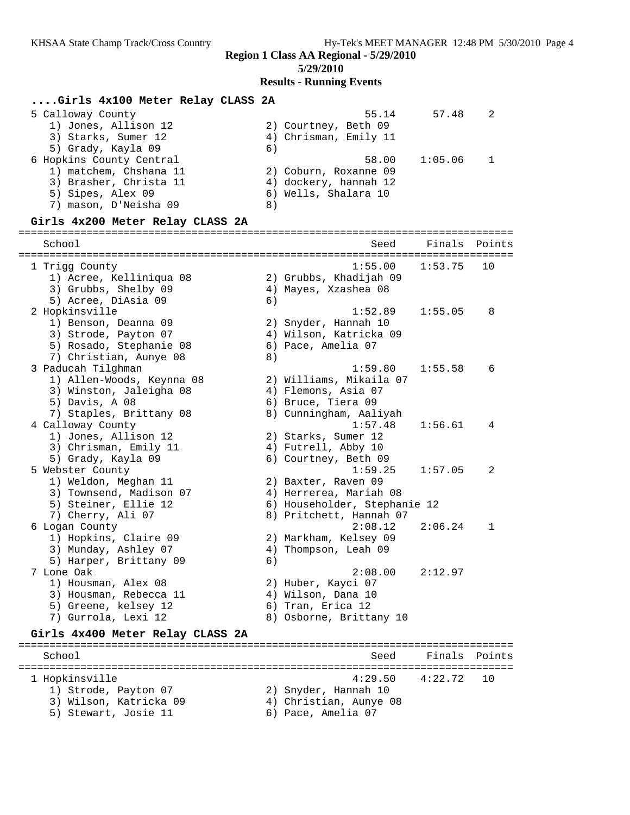### **Region 1 Class AA Regional - 5/29/2010 5/29/2010 Results - Running Events**

#### **....Girls 4x100 Meter Relay CLASS 2A** 5 Calloway County 55.14 57.48 2 1) Jones, Allison 12 2) Courtney, Beth 09 3) Starks, Sumer 12 4) Chrisman, Emily 11 5) Grady, Kayla 09 (6) 6 Hopkins County Central 58.00 1:05.06 1 1) matchem, Chshana 11 2) Coburn, Roxanne 09 3) Brasher, Christa 11 4) dockery, hannah 12 5) Sipes, Alex 09 6) Wells, Shalara 10 7) mason, D'Neisha 09  $\qquad \qquad 8)$ **Girls 4x200 Meter Relay CLASS 2A** ================================================================================ School Seed Finals Points ================================================================================ 1 Trigg County 1:55.00 1:53.75 10 1) Acree, Kelliniqua 08 2) Grubbs, Khadijah 09 3) Grubbs, Shelby 09 4) Mayes, Xzashea 08 5) Acree, DiAsia 09 (6) 2 Hopkinsville 1:52.89 1:55.05 8 1) Benson, Deanna 09 2) Snyder, Hannah 10 3) Strode, Payton 07 4) Wilson, Katricka 09 5) Rosado, Stephanie 08 6) Pace, Amelia 07 7) Christian, Aunye 08 8) 3 Paducah Tilghman 1:59.80 1:55.58 6 1) Allen-Woods, Keynna 08 2) Williams, Mikaila 07 3) Winston, Jaleigha 08 4) Flemons, Asia 07 5) Davis, A 08 6) Bruce, Tiera 09 7) Staples, Brittany 08 8) Cunningham, Aaliyah 4 Calloway County 1:57.48 1:56.61 4 1) Jones, Allison 12 2) Starks, Sumer 12 3) Chrisman, Emily 11  $\qquad \qquad$  4) Futrell, Abby 10 5) Grady, Kayla 09 6) Courtney, Beth 09 5 Webster County 1:59.25 1:57.05 2 1) Weldon, Meghan 11 2) Baxter, Raven 09 3) Townsend, Madison 07 4) Herrerea, Mariah 08 5) Steiner, Ellie 12 6) Householder, Stephanie 12 7) Cherry, Ali 07 8) Pritchett, Hannah 07 6 Logan County 2:08.12 2:06.24 1 1) Hopkins, Claire 09 2) Markham, Kelsey 09 3) Munday, Ashley 07 4) Thompson, Leah 09 5) Harper, Brittany 09 (6) 7 Lone Oak 2:08.00 2:12.97 1) Housman, Alex 08 2) Huber, Kayci 07 3) Housman, Rebecca 11 (4) Wilson, Dana 10 5) Greene, kelsey 12 (6) Tran, Erica 12 7) Gurrola, Lexi 12 8) Osborne, Brittany 10 **Girls 4x400 Meter Relay CLASS 2A** ================================================================================ School Seed Finals Points ================================================================================

1 Hopkinsville 4:29.50 4:22.72 10

- 1) Strode, Payton 07 2) Snyder, Hannah 10
- 3) Wilson, Katricka 09 4) Christian, Aunye 08
- 5) Stewart, Josie 11 (6) Pace, Amelia 07
-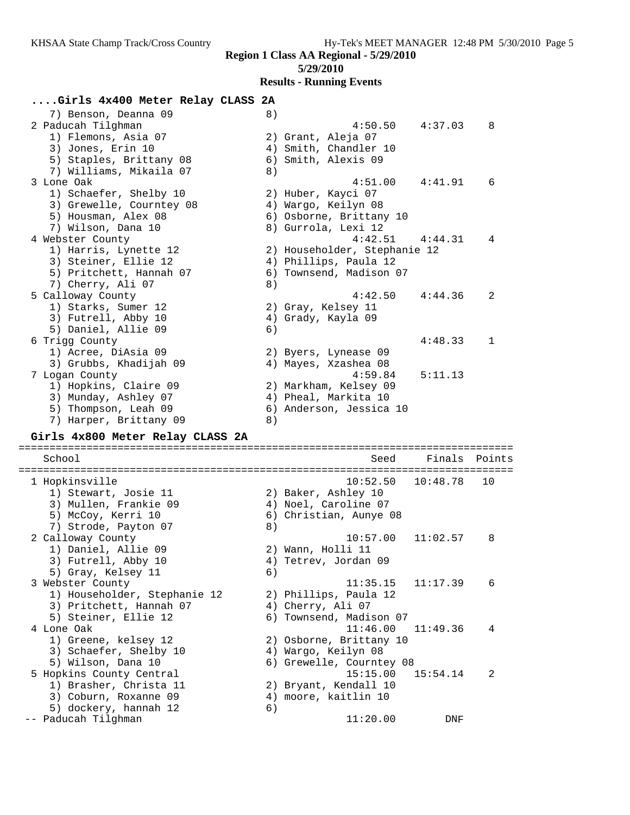**Region 1 Class AA Regional - 5/29/2010**

**5/29/2010**

**Results - Running Events**

# **....Girls 4x400 Meter Relay CLASS 2A**

| 7) Benson, Deanna 09                         | 8) |                              |          |        |
|----------------------------------------------|----|------------------------------|----------|--------|
| 2 Paducah Tilghman                           |    | 4:50.50                      | 4:37.03  | 8      |
| 1) Flemons, Asia 07                          |    | 2) Grant, Aleja 07           |          |        |
| 3) Jones, Erin 10                            |    | 4) Smith, Chandler 10        |          |        |
| 5) Staples, Brittany 08                      |    | 6) Smith, Alexis 09          |          |        |
| 7) Williams, Mikaila 07                      | 8) |                              |          |        |
| 3 Lone Oak                                   |    | 4:51.00                      | 4:41.91  | 6      |
|                                              |    |                              |          |        |
| 1) Schaefer, Shelby 10                       |    | 2) Huber, Kayci 07           |          |        |
| 3) Grewelle, Courntey 08                     |    | 4) Wargo, Keilyn 08          |          |        |
| 5) Housman, Alex 08                          |    | 6) Osborne, Brittany 10      |          |        |
| 7) Wilson, Dana 10                           |    | 8) Gurrola, Lexi 12          |          |        |
| 4 Webster County                             |    | 4:42.51                      | 4:44.31  | 4      |
| 1) Harris, Lynette 12                        |    | 2) Householder, Stephanie 12 |          |        |
| 3) Steiner, Ellie 12                         |    | 4) Phillips, Paula 12        |          |        |
| 5) Pritchett, Hannah 07                      |    | 6) Townsend, Madison 07      |          |        |
| 7) Cherry, Ali 07                            | 8) |                              |          |        |
| 5 Calloway County                            |    | 4:42.50                      | 4:44.36  | 2      |
| 1) Starks, Sumer 12                          |    | 2) Gray, Kelsey 11           |          |        |
| 3) Futrell, Abby 10                          |    | 4) Grady, Kayla 09           |          |        |
| 5) Daniel, Allie 09                          | 6) |                              |          |        |
| 6 Trigg County                               |    |                              | 4:48.33  | 1      |
| 1) Acree, DiAsia 09                          |    | 2) Byers, Lynease 09         |          |        |
| 3) Grubbs, Khadijah 09                       |    | 4) Mayes, Xzashea 08         |          |        |
| 7 Logan County                               |    | 4:59.84                      | 5:11.13  |        |
|                                              |    |                              |          |        |
| 1) Hopkins, Claire 09                        |    | 2) Markham, Kelsey 09        |          |        |
| 3) Munday, Ashley 07                         |    | 4) Pheal, Markita 10         |          |        |
| 5) Thompson, Leah 09                         |    | 6) Anderson, Jessica 10      |          |        |
|                                              |    |                              |          |        |
| 7) Harper, Brittany 09                       | 8) |                              |          |        |
| Girls 4x800 Meter Relay CLASS 2A             |    |                              |          |        |
| School                                       |    | Seed                         | Finals   | Points |
|                                              |    |                              |          |        |
| 1 Hopkinsville                               |    | 10:52.50                     | 10:48.78 | 10     |
| 1) Stewart, Josie 11                         |    | 2) Baker, Ashley 10          |          |        |
| 3) Mullen, Frankie 09                        |    | 4) Noel, Caroline 07         |          |        |
| 5) McCoy, Kerri 10                           |    | 6) Christian, Aunye 08       |          |        |
| 7) Strode, Payton 07                         | 8) |                              |          |        |
| 2 Calloway County                            |    | 10:57.00                     | 11:02.57 | 8      |
|                                              |    | 2) Wann, Holli 11            |          |        |
| 1) Daniel, Allie 09                          |    |                              |          |        |
| 3) Futrell, Abby 10                          |    | 4) Tetrev, Jordan 09         |          |        |
| 5) Gray, Kelsey 11                           | 6) |                              |          |        |
| 3 Webster County                             |    | 11:35.15                     | 11:17.39 | 6      |
| 1) Householder, Stephanie 12                 |    | 2) Phillips, Paula 12        |          |        |
| 3) Pritchett, Hannah 07                      |    | 4) Cherry, Ali 07            |          |        |
| 5) Steiner, Ellie 12                         |    | 6) Townsend, Madison 07      |          |        |
| 4 Lone Oak                                   |    | 11:46.00                     | 11:49.36 | 4      |
| 1) Greene, kelsey 12                         |    | 2) Osborne, Brittany 10      |          |        |
| 3) Schaefer, Shelby 10                       |    | 4) Wargo, Keilyn 08          |          |        |
| 5) Wilson, Dana 10                           |    | 6) Grewelle, Courntey 08     |          |        |
| 5 Hopkins County Central                     |    | 15:15.00                     | 15:54.14 | 2      |
| 1) Brasher, Christa 11                       |    | 2) Bryant, Kendall 10        |          |        |
| 3) Coburn, Roxanne 09                        | 4) | moore, kaitlin 10            |          |        |
| 5) dockery, hannah 12<br>-- Paducah Tilghman | 6) | 11:20.00                     | DNF      |        |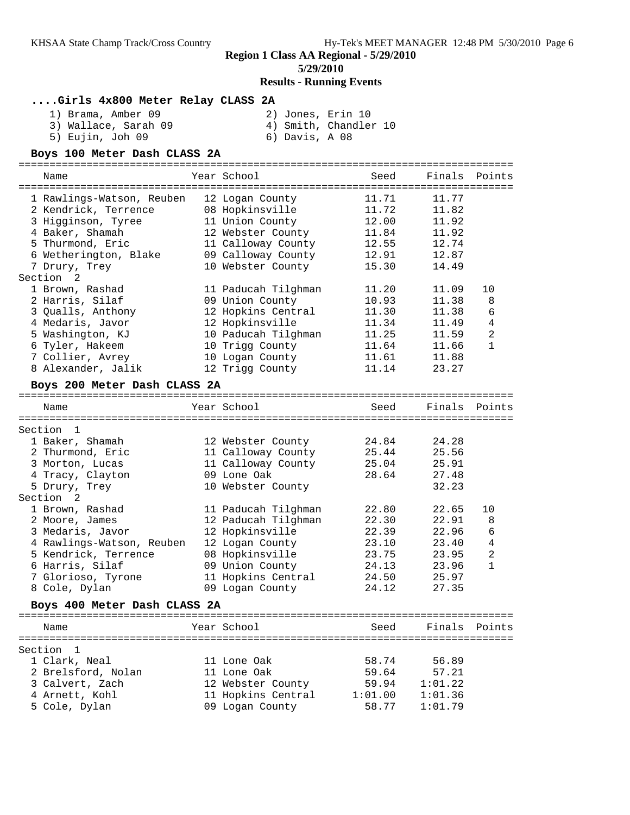# **5/29/2010**

# **Results - Running Events**

### **....Girls 4x800 Meter Relay CLASS 2A**

| 1) Brama, Amber 09   |                | 2) Jones, Erin 10     |  |
|----------------------|----------------|-----------------------|--|
| 3) Wallace, Sarah 09 |                | 4) Smith, Chandler 10 |  |
| 5) Eujin, Joh 09     | 6) Davis, A 08 |                       |  |

#### **Boys 100 Meter Dash CLASS 2A**

================================================================================ Name Year School Seed Finals Points ================================================================================ 1 Rawlings-Watson, Reuben 12 Logan County 11.71 11.77 2 Kendrick, Terrence 08 Hopkinsville 11.72 11.82 3 Higginson, Tyree 11 Union County 12.00 11.92 4 Baker, Shamah 12 Webster County 11.84 11.92 5 Thurmond, Eric 11 Calloway County 12.55 12.74 6 Wetherington, Blake 09 Calloway County 12.91 12.87 7 Drury, Trey 10 Webster County 15.30 14.49 Section 2 1 Brown, Rashad 11 Paducah Tilghman 11.20 11.09 10 2 Harris, Silaf 09 Union County 10.93 11.38 8 3 Qualls, Anthony 12 Hopkins Central 11.30 11.38 6 4 Medaris, Javor 12 Hopkinsville 11.34 11.49 4 5 Washington, KJ 10 Paducah Tilghman 11.25 11.59 2 6 Tyler, Hakeem 10 Trigg County 11.64 11.66 1 7 Collier, Avrey 10 Logan County 11.61 11.88 8 Alexander, Jalik 12 Trigg County 11.14 23.27 **Boys 200 Meter Dash CLASS 2A** ================================================================================ Name The Seed Finals Points (Name Seed Finals Points ================================================================================ Section 1 1 Baker, Shamah 12 Webster County 24.84 24.28 2 Thurmond, Eric 11 Calloway County 25.44 25.56 3 Morton, Lucas 11 Calloway County 25.04 25.91 4 Tracy, Clayton 09 Lone Oak 28.64 27.48 5 Drury, Trey 10 Webster County 32.23 Section 2 1 Brown, Rashad 11 Paducah Tilghman 22.80 22.65 10 2 Moore, James 12 Paducah Tilghman 22.30 22.91 8 3 Medaris, Javor 12 Hopkinsville 22.39 22.96 6 4 Rawlings-Watson, Reuben 12 Logan County 23.10 23.40 4 5 Kendrick, Terrence 08 Hopkinsville 23.75 23.95 2 6 Harris, Silaf 09 Union County 24.13 23.96 1 7 Glorioso, Tyrone 11 Hopkins Central 24.50 25.97 8 Cole, Dylan 09 Logan County 24.12 27.35 **Boys 400 Meter Dash CLASS 2A** ================================================================================ Name The Year School Seed Finals Points ================================================================================ Section 1 1 Clark, Neal 11 Lone Oak 58.74 56.89 2 Brelsford, Nolan 11 Lone Oak 59.64 57.21 3 Calvert, Zach 12 Webster County 59.94 1:01.22 4 Arnett, Kohl 11 Hopkins Central 1:01.00 1:01.36 5 Cole, Dylan 09 Logan County 58.77 1:01.79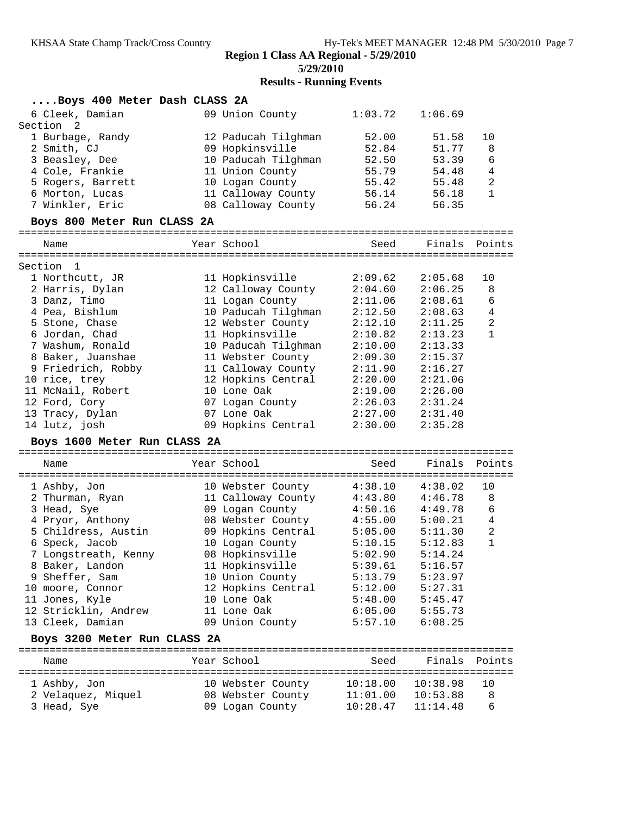### **Region 1 Class AA Regional - 5/29/2010**

**5/29/2010**

# **Results - Running Events**

| Boys 400 Meter Dash CLASS 2A      |                                         |                      |                      |                |
|-----------------------------------|-----------------------------------------|----------------------|----------------------|----------------|
| 6 Cleek, Damian                   | 09 Union County                         | 1:03.72              | 1:06.69              |                |
| Section<br>$\overline{2}$         |                                         |                      |                      |                |
| 1 Burbage, Randy                  | 12 Paducah Tilghman                     | 52.00                | 51.58                | 10             |
| 2 Smith, CJ                       | 09 Hopkinsville                         | 52.84                | 51.77                | 8              |
| 3 Beasley, Dee                    | 10 Paducah Tilghman                     | 52.50                | 53.39                | 6              |
| 4 Cole, Frankie                   | 11 Union County                         | 55.79                | 54.48                | $\overline{4}$ |
| 5 Rogers, Barrett                 | 10 Logan County                         | 55.42                | 55.48                | $\overline{a}$ |
| 6 Morton, Lucas                   | 11 Calloway County                      | 56.14                | 56.18                | $\mathbf{1}$   |
| 7 Winkler, Eric                   | 08 Calloway County                      | 56.24                | 56.35                |                |
| Boys 800 Meter Run CLASS 2A       |                                         |                      |                      |                |
| Name                              | Year School                             | Seed                 | Finals Points        |                |
| Section<br>- 1                    |                                         |                      |                      |                |
| 1 Northcutt, JR                   | 11 Hopkinsville                         | 2:09.62              | 2:05.68              | 10             |
| 2 Harris, Dylan                   | 12 Calloway County                      | 2:04.60              | 2:06.25              | 8              |
| 3 Danz, Timo                      | 11 Logan County                         | 2:11.06              | 2:08.61              | 6              |
| 4 Pea, Bishlum                    | 10 Paducah Tilghman                     | 2:12.50              | 2:08.63              | $\,4$          |
| 5 Stone, Chase                    | 12 Webster County                       | 2:12.10              | 2:11.25              | 2              |
| 6 Jordan, Chad                    | 11 Hopkinsville                         | 2:10.82              | 2:13.23              | 1              |
| 7 Washum, Ronald                  | 10 Paducah Tilghman 2:10.00             |                      | 2:13.33              |                |
| 8 Baker, Juanshae                 | 11 Webster County                       | 2:09.30              | 2:15.37              |                |
| 9 Friedrich, Robby                | 11 Calloway County                      | 2:11.90              | 2:16.27              |                |
| 10 rice, trey                     | 12 Hopkins Central                      | 2:20.00              | 2:21.06              |                |
| 11 McNail, Robert                 | 10 Lone Oak                             | 2:19.00              | 2:26.00              |                |
| 12 Ford, Cory                     | 07 Logan County                         | 2:26.03              | 2:31.24              |                |
| 13 Tracy, Dylan                   | 07 Lone Oak                             | 2:27.00              | 2:31.40              |                |
| 14 lutz, josh                     | 09 Hopkins Central                      | 2:30.00              | 2:35.28              |                |
| Boys 1600 Meter Run CLASS 2A      |                                         |                      |                      |                |
| Name                              | Year School                             | Seed                 | Finals               | Points         |
|                                   |                                         | 4:38.10              | 4:38.02              | 10             |
| 1 Ashby, Jon<br>2 Thurman, Ryan   | 10 Webster County<br>11 Calloway County | 4:43.80              | 4:46.78              | 8              |
| 3 Head, Sye                       | 09 Logan County                         | 4:50.16              | 4:49.78              | 6              |
| 4 Pryor, Anthony                  | 08 Webster County                       | 4:55.00              | 5:00.21              | 4              |
| 5 Childress, Austin               | 09 Hopkins Central                      | 5:05.00              | 5:11.30              | $\sqrt{2}$     |
| 6 Speck, Jacob                    |                                         |                      |                      |                |
|                                   |                                         |                      |                      |                |
|                                   | 10 Logan County                         | 5:10.15              | 5:12.83              | $\mathbf{1}$   |
| 7 Longstreath, Kenny              | 08 Hopkinsville                         | 5:02.90              | 5:14.24              |                |
| 8 Baker, Landon                   | 11 Hopkinsville                         | 5:39.61              | 5:16.57              |                |
| 9 Sheffer, Sam                    | 10 Union County                         | 5:13.79              | 5:23.97              |                |
| 10 moore, Connor                  | 12 Hopkins Central                      | 5:12.00              | 5:27.31              |                |
| 11 Jones, Kyle                    | 10 Lone Oak                             | 5:48.00              | 5:45.47              |                |
| 12 Stricklin, Andrew              | 11 Lone Oak                             | 6:05.00              | 5:55.73              |                |
| 13 Cleek, Damian                  | 09 Union County                         | 5:57.10              | 6:08.25              |                |
| Boys 3200 Meter Run CLASS 2A      |                                         |                      |                      |                |
| Name                              | Year School                             | Seed                 | Finals               | Points         |
|                                   |                                         |                      |                      | 10             |
| 1 Ashby, Jon                      | 10 Webster County                       | 10:18.00             | 10:38.98             | 8              |
| 2 Velaquez, Miquel<br>3 Head, Sye | 08 Webster County<br>09 Logan County    | 11:01.00<br>10:28.47 | 10:53.88<br>11:14.48 | 6              |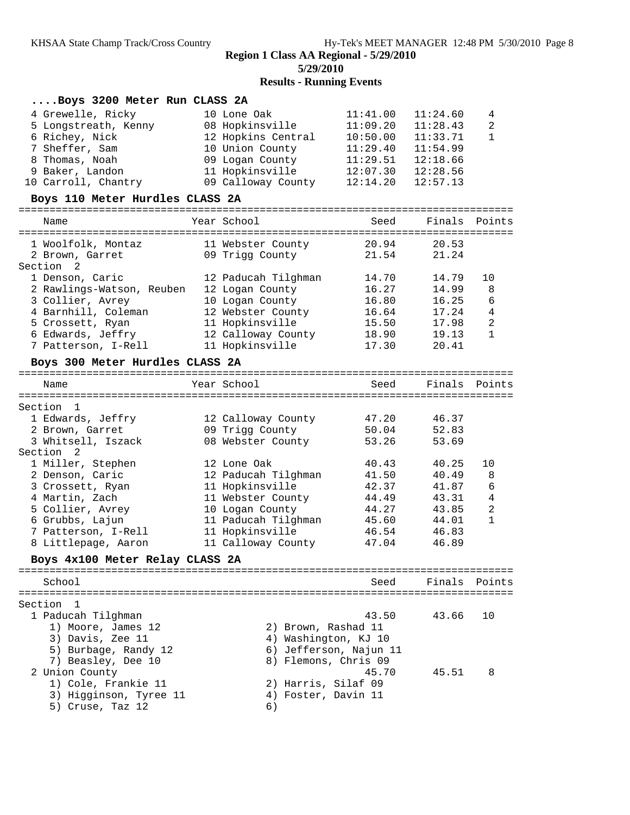# **Results - Running Events**

| Boys 3200 Meter Run CLASS 2A    |                      |                        |               |                |
|---------------------------------|----------------------|------------------------|---------------|----------------|
| 4 Grewelle, Ricky               | 10 Lone Oak          | 11:41.00               | 11:24.60      | 4              |
| 5 Longstreath, Kenny            | 08 Hopkinsville      | 11:09.20               | 11:28.43      | 2              |
| 6 Richey, Nick                  | 12 Hopkins Central   | 10:50.00               | 11:33.71      | 1              |
| 7 Sheffer, Sam                  | 10 Union County      | 11:29.40               | 11:54.99      |                |
| 8 Thomas, Noah                  | 09 Logan County      | 11:29.51               | 12:18.66      |                |
| 9 Baker, Landon                 | 11 Hopkinsville      | 12:07.30               | 12:28.56      |                |
| 10 Carroll, Chantry             | 09 Calloway County   | 12:14.20               | 12:57.13      |                |
| Boys 110 Meter Hurdles CLASS 2A |                      |                        |               |                |
| Name                            | Year School          | Seed                   | Finals        | Points         |
|                                 |                      |                        |               |                |
| 1 Woolfolk, Montaz              | 11 Webster County    | 20.94                  | 20.53         |                |
| 2 Brown, Garret                 | 09 Trigg County      | 21.54                  | 21.24         |                |
| Section <sub>2</sub>            |                      |                        |               |                |
| 1 Denson, Caric                 | 12 Paducah Tilghman  | 14.70                  | 14.79         | 10             |
| 2 Rawlings-Watson, Reuben       | 12 Logan County      | 16.27                  | 14.99         | 8              |
| 3 Collier, Avrey                | 10 Logan County      | 16.80                  | 16.25         | 6              |
| 4 Barnhill, Coleman             | 12 Webster County    | 16.64                  | 17.24         | $\overline{4}$ |
| 5 Crossett, Ryan                | 11 Hopkinsville      | 15.50                  | 17.98         | $\sqrt{2}$     |
| 6 Edwards, Jeffry               | 12 Calloway County   | 18.90                  | 19.13         | 1              |
| 7 Patterson, I-Rell             | 11 Hopkinsville      | 17.30                  | 20.41         |                |
| Boys 300 Meter Hurdles CLASS 2A |                      |                        |               |                |
| Name                            | Year School          | Seed                   | Finals Points |                |
|                                 |                      |                        |               |                |
| Section<br>-1                   |                      |                        |               |                |
| 1 Edwards, Jeffry               | 12 Calloway County   | 47.20                  | 46.37         |                |
| 2 Brown, Garret                 | 09 Trigg County      | 50.04                  | 52.83         |                |
| 3 Whitsell, Iszack              | 08 Webster County    | 53.26                  | 53.69         |                |
| Section <sub>2</sub>            |                      |                        |               |                |
| 1 Miller, Stephen               | 12 Lone Oak          | 40.43                  | 40.25         | 10             |
| 2 Denson, Caric                 | 12 Paducah Tilghman  | 41.50                  | 40.49         | 8              |
| 3 Crossett, Ryan                | 11 Hopkinsville      | 42.37                  | 41.87         | 6              |
| 4 Martin, Zach                  | 11 Webster County    | 44.49                  | 43.31         | $\overline{4}$ |
| 5 Collier, Avrey                | 10 Logan County      | 44.27                  | 43.85         | 2              |
| 6 Grubbs, Lajun                 | 11 Paducah Tilghman  | 45.60                  | 44.01         | 1              |
| 7 Patterson, I-Rell             | 11 Hopkinsville      | 46.54                  | 46.83         |                |
| 8 Littlepage, Aaron             | 11 Calloway County   | 47.04                  | 46.89         |                |
| Boys 4x100 Meter Relay CLASS 2A |                      |                        |               |                |
| School                          |                      | Seed                   | Finals        | Points         |
|                                 |                      |                        |               |                |
| Section<br>$\overline{1}$       |                      |                        |               |                |
| 1 Paducah Tilghman              |                      | 43.50                  | 43.66         | 10             |
| 1) Moore, James 12              | 2) Brown, Rashad 11  |                        |               |                |
| 3) Davis, Zee 11                | 4) Washington, KJ 10 |                        |               |                |
| 5) Burbage, Randy 12            |                      | 6) Jefferson, Najun 11 |               |                |
| 7) Beasley, Dee 10              | 8) Flemons, Chris 09 |                        |               |                |
| 2 Union County                  |                      | 45.70                  | 45.51         | 8              |
| 1) Cole, Frankie 11             | 2) Harris, Silaf 09  |                        |               |                |
| 3) Higginson, Tyree 11          | 4) Foster, Davin 11  |                        |               |                |
| 5) Cruse, Taz 12                | 6)                   |                        |               |                |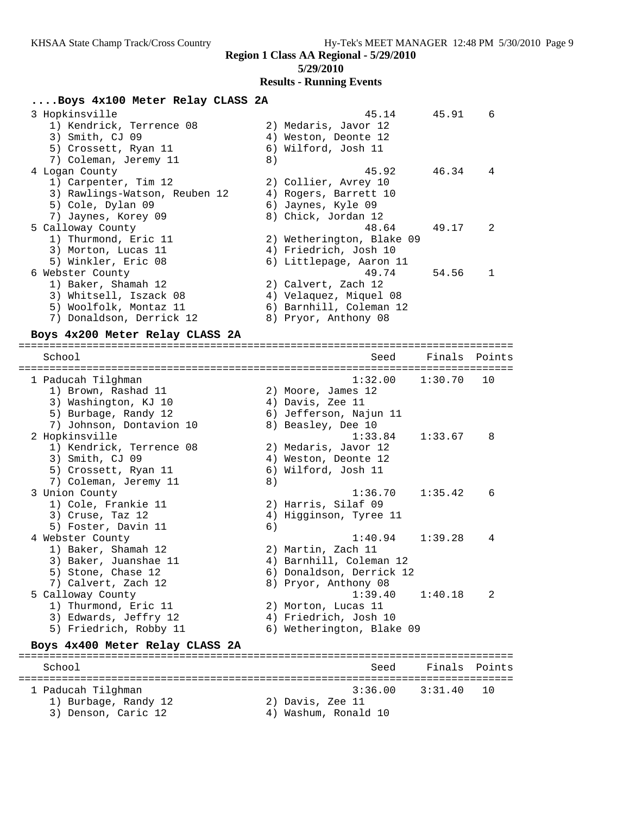### **Region 1 Class AA Regional - 5/29/2010**

#### **5/29/2010**

#### **Results - Running Events**

#### **....Boys 4x100 Meter Relay CLASS 2A**

| 3 Hopkinsville                |    | 45.14                     | 45.91 | 6             |
|-------------------------------|----|---------------------------|-------|---------------|
| 1) Kendrick, Terrence 08      |    | 2) Medaris, Javor 12      |       |               |
| 3) Smith, CJ 09               |    | 4) Weston, Deonte 12      |       |               |
| 5) Crossett, Ryan 11          |    | 6) Wilford, Josh 11       |       |               |
| 7) Coleman, Jeremy 11         | 8) |                           |       |               |
| 4 Logan County                |    | 45.92                     | 46.34 | 4             |
| 1) Carpenter, Tim 12          |    | 2) Collier, Avrey 10      |       |               |
| 3) Rawlings-Watson, Reuben 12 |    | 4) Rogers, Barrett 10     |       |               |
| 5) Cole, Dylan 09             |    | 6) Jaynes, Kyle 09        |       |               |
| 7) Jaynes, Korey 09           |    | 8) Chick, Jordan 12       |       |               |
| 5 Calloway County             |    | 48.64                     | 49.17 | $\mathcal{L}$ |
| 1) Thurmond, Eric 11          |    | 2) Wetherington, Blake 09 |       |               |
| 3) Morton, Lucas 11           |    | 4) Friedrich, Josh 10     |       |               |
| 5) Winkler, Eric 08           |    | 6) Littlepage, Aaron 11   |       |               |
| 6 Webster County              |    | 49.74                     | 54.56 | 1             |
| 1) Baker, Shamah 12           |    | 2) Calvert, Zach 12       |       |               |
| 3) Whitsell, Iszack 08        |    | 4) Velaquez, Miquel 08    |       |               |
| 5) Woolfolk, Montaz 11        |    | 6) Barnhill, Coleman 12   |       |               |
| Donaldson, Derrick 12<br>7)   |    | 8) Pryor, Anthony 08      |       |               |
|                               |    |                           |       |               |

================================================================================

### **Boys 4x200 Meter Relay CLASS 2A**

 School Seed Finals Points ================================================================================ 1 Paducah Tilghman 1:32.00 1:30.70 10 1) Brown, Rashad 11 2) Moore, James 12 3) Washington, KJ 10  $\hskip1cm$  4) Davis, Zee 11 5) Burbage, Randy 12 6) Jefferson, Najun 11 7) Johnson, Dontavion 10 and 8) Beasley, Dee 10 2 Hopkinsville 1:33.84 1:33.67 8 1) Kendrick, Terrence 08 2) Medaris, Javor 12 3) Smith, CJ 09 (2008) 4) Weston, Deonte 12 5) Crossett, Ryan 11 (6) Wilford, Josh 11 7) Coleman, Jeremy 11 8) 3 Union County 1:36.70 1:35.42 6 1) Cole, Frankie 11 2) Harris, Silaf 09 3) Cruse, Taz 12 4) Higginson, Tyree 11 5) Foster, Davin 11 6) 4 Webster County 1:40.94 1:39.28 4 1) Baker, Shamah 12 2) Martin, Zach 11 3) Baker, Juanshae 11 4) Barnhill, Coleman 12 5) Stone, Chase 12 6) Donaldson, Derrick 12 7) Calvert, Zach 12 8) Pryor, Anthony 08 5 Calloway County 1:39.40 1:40.18 2 1) Thurmond, Eric 11 (2) Morton, Lucas 11 3) Edwards, Jeffry 12 4) Friedrich, Josh 10 5) Friedrich, Robby 11 6) Wetherington, Blake 09 **Boys 4x400 Meter Relay CLASS 2A** ================================================================================ School Seed Finals Points ================================================================================ 1 Paducah Tilghman 3:36.00 3:31.40 10 1) Burbage, Randy 12 2) Davis, Zee 11

- 3) Denson, Caric 12 (4) Washum, Ronald 10
-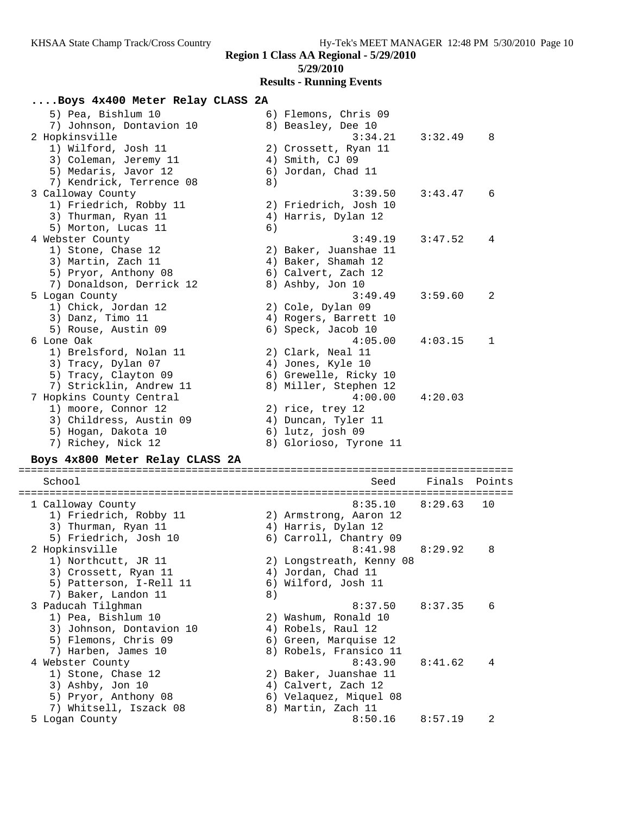## **Results - Running Events**

## **....Boys 4x400 Meter Relay CLASS 2A**

| 5) Pea, Bishlum 10<br>7) Johnson, Dontavion 10<br>2 Hopkinsville<br>1) Wilford, Josh 11                                                                    | 6) Flemons, Chris 09<br>8) Beasley, Dee 10<br>3:34.21<br>3:32.49<br>2) Crossett, Ryan 11                            | 8      |
|------------------------------------------------------------------------------------------------------------------------------------------------------------|---------------------------------------------------------------------------------------------------------------------|--------|
| 3) Coleman, Jeremy 11<br>5) Medaris, Javor 12<br>7) Kendrick, Terrence 08<br>3 Calloway County                                                             | 4) Smith, CJ 09<br>6) Jordan, Chad 11<br>8)<br>3:39.50<br>3:43.47                                                   | 6      |
| 1) Friedrich, Robby 11<br>3) Thurman, Ryan 11<br>5) Morton, Lucas 11                                                                                       | 2) Friedrich, Josh 10<br>4) Harris, Dylan 12<br>6)                                                                  |        |
| 4 Webster County<br>1) Stone, Chase 12<br>3) Martin, Zach 11<br>5) Pryor, Anthony 08<br>7) Donaldson, Derrick 12                                           | 3:49.19<br>3:47.52<br>2) Baker, Juanshae 11<br>4) Baker, Shamah 12<br>6) Calvert, Zach 12<br>8) Ashby, Jon 10       | 4      |
| 5 Logan County<br>1) Chick, Jordan 12<br>3) Danz, Timo 11<br>5) Rouse, Austin 09                                                                           | 3:49.49<br>3:59.60<br>2) Cole, Dylan 09<br>4) Rogers, Barrett 10<br>6) Speck, Jacob 10                              | 2      |
| 6 Lone Oak<br>1) Brelsford, Nolan 11<br>3) Tracy, Dylan 07<br>5) Tracy, Clayton 09<br>7) Stricklin, Andrew 11                                              | 4:05.00<br>4:03.15<br>2) Clark, Neal 11<br>4) Jones, Kyle 10<br>6) Grewelle, Ricky 10<br>8) Miller, Stephen 12      | 1      |
| 7 Hopkins County Central<br>1) moore, Connor 12<br>3) Childress, Austin 09<br>5) Hogan, Dakota 10<br>7) Richey, Nick 12<br>Boys 4x800 Meter Relay CLASS 2A | 4:00.00<br>4:20.03<br>2) rice, trey 12<br>4) Duncan, Tyler 11<br>$6)$ lutz, josh 09<br>8) Glorioso, Tyrone 11       |        |
| School                                                                                                                                                     | Finals<br>Seed                                                                                                      | Points |
| 1 Calloway County<br>1) Friedrich, Robby 11<br>3) Thurman, Ryan 11<br>5) Friedrich, Josh 10                                                                | 8:35.10<br>8:29.63<br>2) Armstrong, Aaron 12<br>4) Harris, Dylan 12<br>6) Carroll, Chantry 09                       | 10     |
| 2 Hopkinsville<br>1) Northcutt, JR 11<br>3) Crossett, Ryan 11<br>5) Patterson, I-Rell 11<br>7) Baker, Landon 11                                            | 8:41.98<br>8:29.92<br>2) Longstreath, Kenny 08<br>4) Jordan, Chad 11<br>Wilford, Josh 11<br>6)<br>8)                | 8      |
| 3 Paducah Tilghman<br>1) Pea, Bishlum 10<br>3) Johnson, Dontavion 10<br>5) Flemons, Chris 09<br>7) Harben, James 10                                        | 8:37.50<br>8:37.35<br>2) Washum, Ronald 10<br>4) Robels, Raul 12<br>6) Green, Marquise 12<br>8) Robels, Fransico 11 | 6      |
| 4 Webster County<br>1) Stone, Chase 12<br>3) Ashby, Jon 10<br>5) Pryor, Anthony 08<br>7) Whitsell, Iszack 08                                               | 8:43.90<br>8:41.62<br>2) Baker, Juanshae 11<br>4) Calvert, Zach 12<br>6) Velaquez, Miquel 08<br>8) Martin, Zach 11  | 4      |

5 Logan County 8:50.16 8:57.19 2